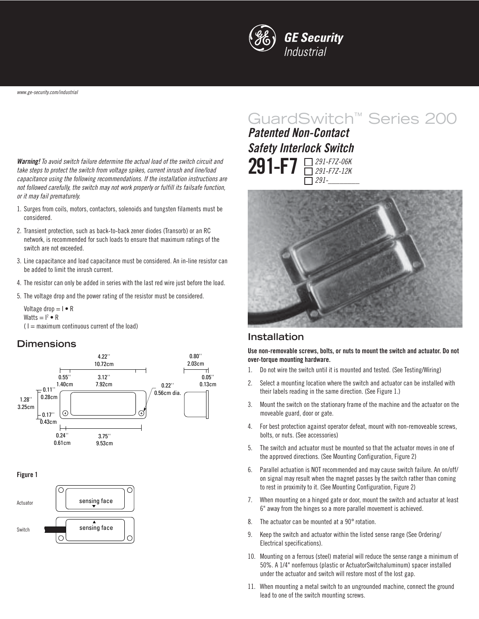

**Warning!** To avoid switch failure determine the actual load of the switch circuit and take steps to protect the switch from voltage spikes, current inrush and line/load capacitance using the following recommendations. If the installation instructions are not followed carefully, the switch may not work properly or fulfill its failsafe function, or it may fail prematurely.

- 1. Surges from coils, motors, contactors, solenoids and tungsten filaments must be considered.
- 2. Transient protection, such as back-to-back zener diodes (Transorb) or an RC network, is recommended for such loads to ensure that maximum ratings of the switch are not exceeded.
- 3. Line capacitance and load capacitance must be considered. An in-line resistor can be added to limit the inrush current.
- 4. The resistor can only be added in series with the last red wire just before the load.
- 5. The voltage drop and the power rating of the resistor must be considered.

Voltage drop  $= I \cdot R$ Watts  $= I^2 \bullet R$ 

 $(1 =$  maximum continuous current of the load)

#### **Dimensions**



**Figure 1**



# GuardSwitch™ Series 200

**291-F7** 291-F7Z-06K 291-F7Z-12K 291-\_\_\_\_\_\_\_\_ **Patented Non-Contact Safety Interlock Switch**



#### **Installation**

**Use non-removable screws, bolts, or nuts to mount the switch and actuator. Do not over-torque mounting hardware.**

- 1. Do not wire the switch until it is mounted and tested. (See Testing/Wiring)
- 2. Select a mounting location where the switch and actuator can be installed with their labels reading in the same direction. (See Figure 1.)
- 3. Mount the switch on the stationary frame of the machine and the actuator on the moveable guard, door or gate.
- 4. For best protection against operator defeat, mount with non-removeable screws, bolts, or nuts. (See accessories)
- 5. The switch and actuator must be mounted so that the actuator moves in one of the approved directions. (See Mounting Configuration, Figure 2)
- 6. Parallel actuation is NOT recommended and may cause switch failure. An on/off/ on signal may result when the magnet passes by the switch rather than coming to rest in proximity to it. (See Mounting Configuration, Figure 2)
- 7. When mounting on a hinged gate or door, mount the switch and actuator at least 6" away from the hinges so a more parallel movement is achieved.
- 8. The actuator can be mounted at a 90° rotation.
- 9. Keep the switch and actuator within the listed sense range (See Ordering/ Electrical specifications).
- 10. Mounting on a ferrous (steel) material will reduce the sense range a minimum of 50%. A 1/4" nonferrous (plastic or ActuatorSwitchaluminum) spacer installed under the actuator and switch will restore most of the lost gap.
- 11. When mounting a metal switch to an ungrounded machine, connect the ground lead to one of the switch mounting screws.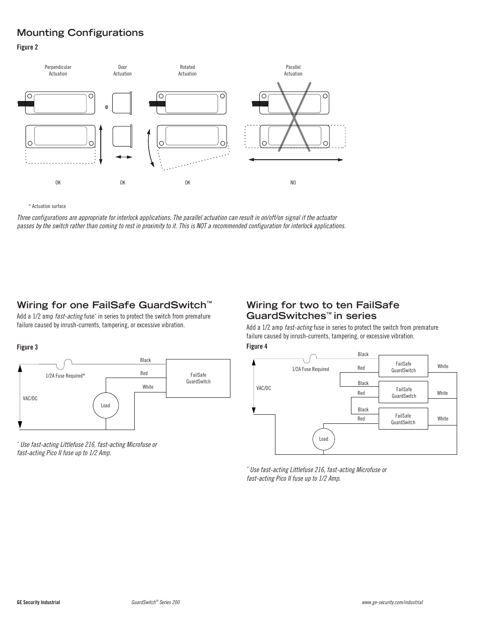## **Mounting Configurations**

#### **Figure 2**



\* Actuation surface

Three configurations are appropriate for interlock applications. The parallel actuation can result in on/off/on signal if the actuator passes by the switch rather than coming to rest in proximity to it. This is NOT a recommended configuration for interlock applications.

## **Wiring for one FailSafe GuardSwitch™**

Add a 1/2 amp *fast-acting* fuse<sup>\*</sup> in series to protect the switch from premature failure caused by inrush-currents, tampering, or excessive vibration.



\* Use fast-acting Littlefuse 216, fast-acting Microfuse or fast-acting Pico II fuse up to 1/2 Amp.

## **Wiring for two to ten FailSafe GuardSwitches™ in series**

Add a 1/2 amp *fast-acting* fuse in series to protect the switch from premature failure caused by inrush-currents, tampering, or excessive vibration.

#### **Figure 3 Figure 4**



\* Use fast-acting Littlefuse 216, fast-acting Microfuse or fast-acting Pico II fuse up to 1/2 Amp.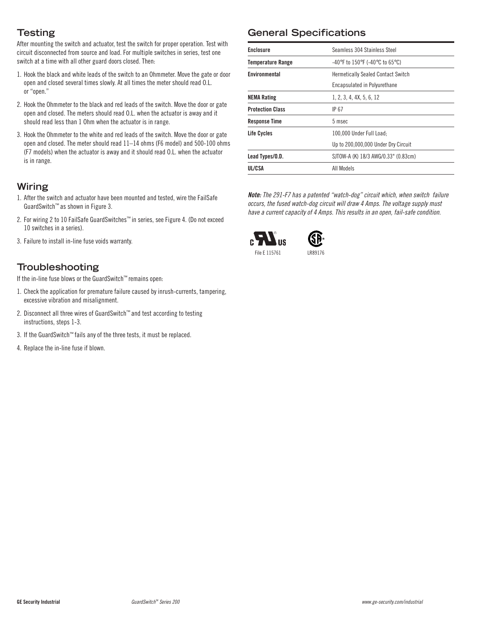## **Testing**

After mounting the switch and actuator, test the switch for proper operation. Test with circuit disconnected from source and load. For multiple switches in series, test one switch at a time with all other guard doors closed. Then:

- 1. Hook the black and white leads of the switch to an Ohmmeter. Move the gate or door open and closed several times slowly. At all times the meter should read O.L. or "open."
- 2. Hook the Ohmmeter to the black and red leads of the switch. Move the door or gate open and closed. The meters should read O.L. when the actuator is away and it should read less than 1 Ohm when the actuator is in range.
- 3. Hook the Ohmmeter to the white and red leads of the switch. Move the door or gate open and closed. The meter should read 11–14 ohms (F6 model) and 500-100 ohms (F7 models) when the actuator is away and it should read O.L. when the actuator is in range.

## **Wiring**

- 1. After the switch and actuator have been mounted and tested, wire the FailSafe GuardSwitch™ as shown in Figure 3.
- 2. For wiring 2 to 10 FailSafe GuardSwitches™ in series, see Figure 4. (Do not exceed 10 switches in a series).
- 3. Failure to install in-line fuse voids warranty.

## **Troubleshooting**

If the in-line fuse blows or the GuardSwitch™ remains open:

- 1. Check the application for premature failure caused by inrush-currents, tampering, excessive vibration and misalignment.
- 2. Disconnect all three wires of GuardSwitch™ and test according to testing instructions, steps 1-3.
- 3. If the GuardSwitch™ fails any of the three tests, it must be replaced.
- 4. Replace the in-line fuse if blown.

## **General Specifications**

| <b>Enclosure</b>         | Seamless 304 Stainless Steel                                              |
|--------------------------|---------------------------------------------------------------------------|
| <b>Temperature Range</b> | $-40^{\circ}$ F to 150 $^{\circ}$ F (-40 $^{\circ}$ C to 65 $^{\circ}$ C) |
| Environmental            | <b>Hermetically Sealed Contact Switch</b>                                 |
|                          | Encapsulated in Polyurethane                                              |
| <b>NEMA Rating</b>       | 1, 2, 3, 4, 4X, 5, 6, 12                                                  |
| <b>Protection Class</b>  | IP 67                                                                     |
| <b>Response Time</b>     | 5 msec                                                                    |
| Life Cycles              | 100.000 Under Full Load:                                                  |
|                          | Up to 200,000,000 Under Dry Circuit                                       |
| Lead Types/O.D.          | SJTOW-A (K) 18/3 AWG/0.33" (0.83cm)                                       |
| UL/CSA                   | All Models                                                                |

**Note:** The 291-F7 has a patented "watch-dog" circuit which, when switch failure occurs, the fused watch-dog circuit will draw 4 Amps. The voltage supply must have a current capacity of 4 Amps. This results in an open, fail-safe condition.